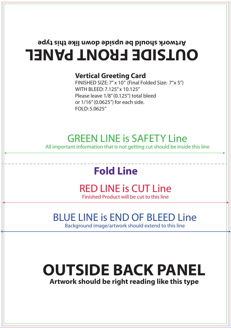# **OUTSIDE FRONT PANEL Artwork should be upside down like this type**

#### **Vertical Greeting Card**

FINISHED SIZE: 7" x 10" (Final Folded Size: 7"x 5") WITH BLEED: 7.125" x 10.125" Please leave 1/8" (0.125") total bleed or 1/16" (0.0625") for each side. FOLD: 5.0625"

### GREEN LINE is SAFETY Line

All important information that is not getting cut should be inside this line

# **Fold Line**

#### RED LINE is CUT Line Finished Product will be cut to this line

### BLUE LINE is END OF BLEED Line

Background image/artwork should extend to this line

# **OUTSIDE BACK PANEL**

**Artwork should be right reading like this type**